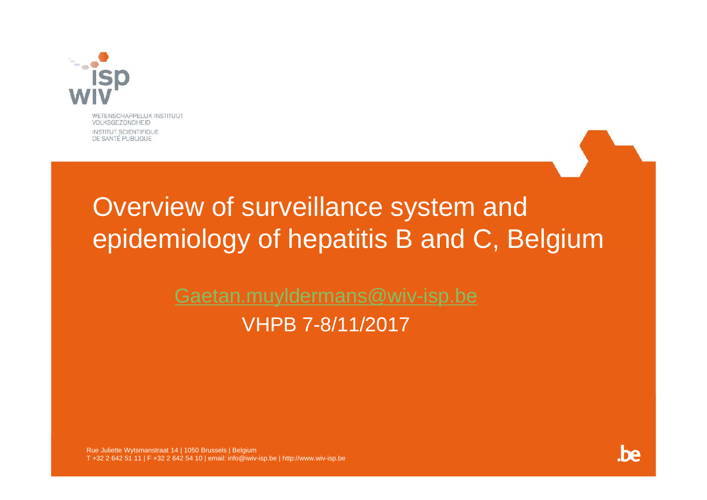

WETENSCHAPPELIJK INSTITUUT **VOLKSGEZONDHEID** INSTITUT SCIENTIFIQUE DE SANTÉ PUBLIQUE

## Overview of surveillance system and epidemiology of hepatitis B and C, Belgium

Gaetan.muyldermans@wiv-isp.be VHPB 7-8/11/2017

Rue Juliette Wytsmanstraat 14 | 1050 Brussels | Belgium T +32 2 642 51 11 | F +32 2 642 54 10 | email: info@iwiv-isp.be | http://www.wiv-isp.be

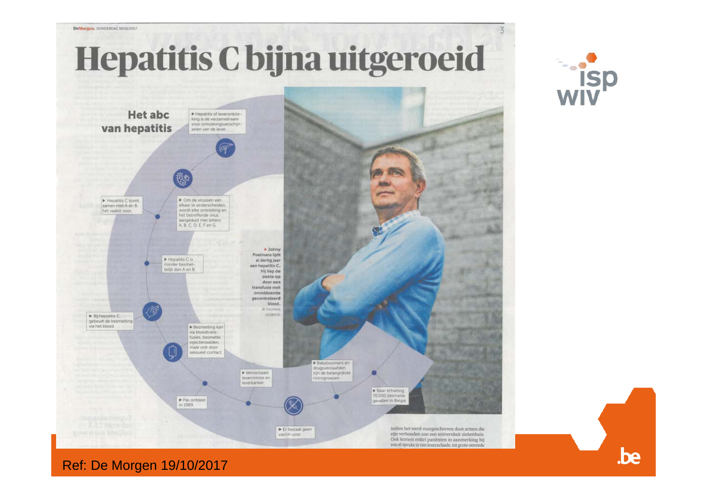

.be

**isp** 

Ref: De Morgen 19/10/2017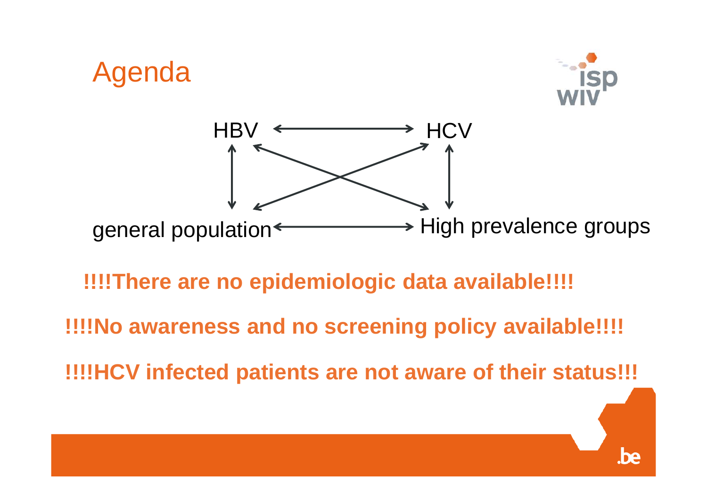

#### **!!!!There are no epidemiologic data available!!!!**

**!!!!No awareness and no screening policy available!!!!**

**!!!!HCV infected patients are not aware of their status!!!**

.be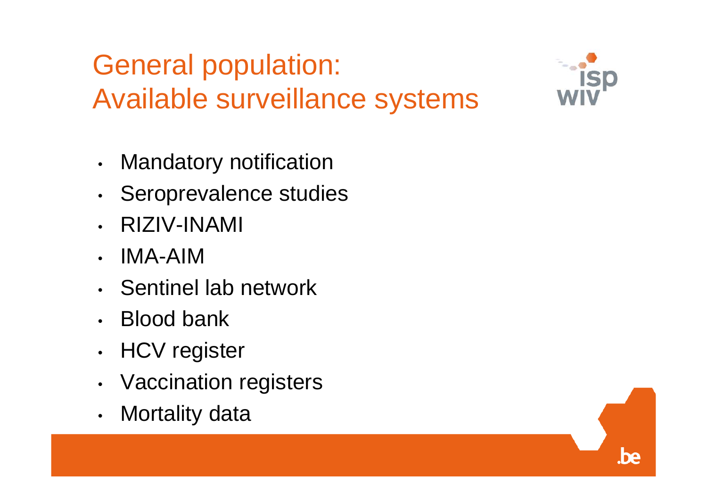# General population: Available surveillance systems

- $\bullet$ Mandatory notification
- •• Seroprevalence studies
- •RIZIV-INAMI
- •IMA-AIM
- Sentinel lab network
- •Blood bank
- •HCV register
- •Vaccination registers
- •Mortality data



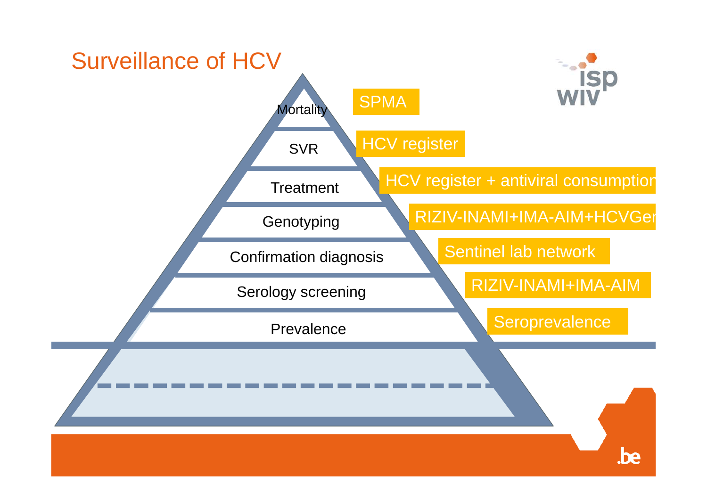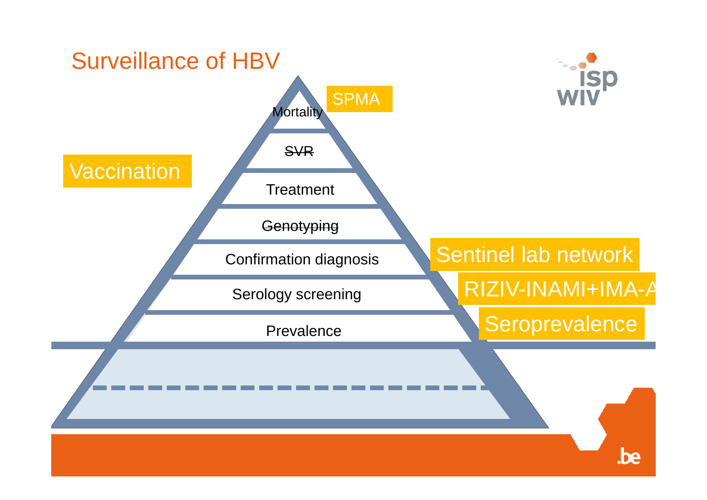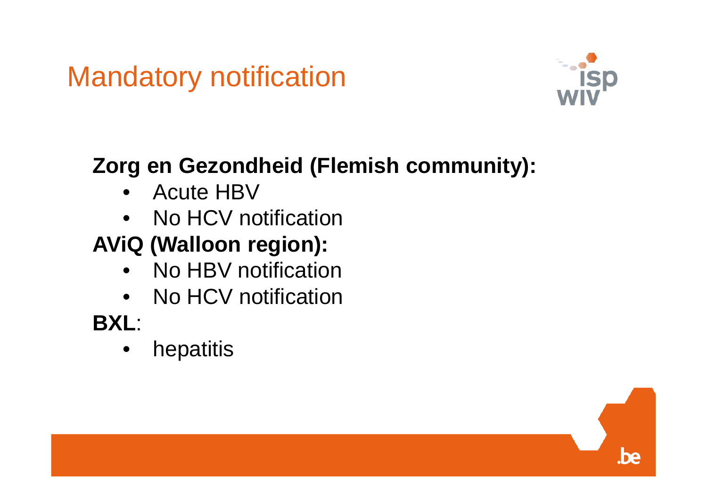# Mandatory notification



### **Zorg en Gezondheid (Flemish community):**

- Acute HBV
- No HCV notification

## **AViQ (Walloon region):**

- $\bullet$ No HBV notification
- No HCV notification

## **BXL**:

•hepatitis

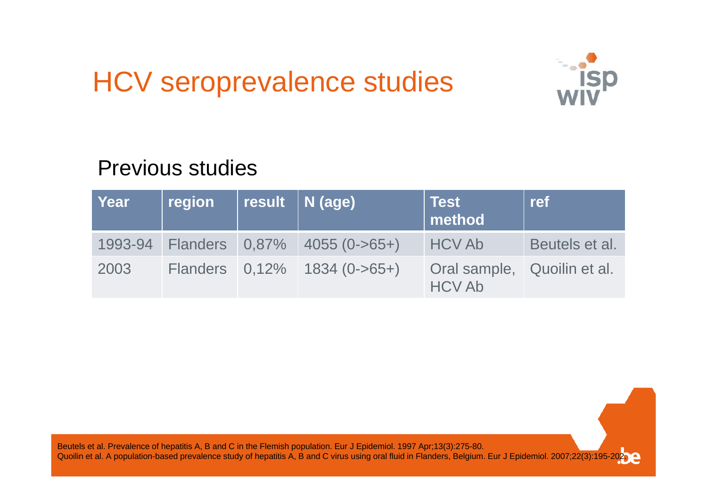## HCV seroprevalence studies



#### Previous studies

| Year | region | result   N (age)                     | ∣ Test<br>method                             | ref            |
|------|--------|--------------------------------------|----------------------------------------------|----------------|
|      |        | 1993-94 Flanders 0,87% 4055 (0->65+) | <b>HCV Ab</b>                                | Beutels et al. |
| 2003 |        | Flanders $0,12\%$ 1834 (0->65+)      | Oral sample, Quoilin et al.<br><b>HCV Ab</b> |                |

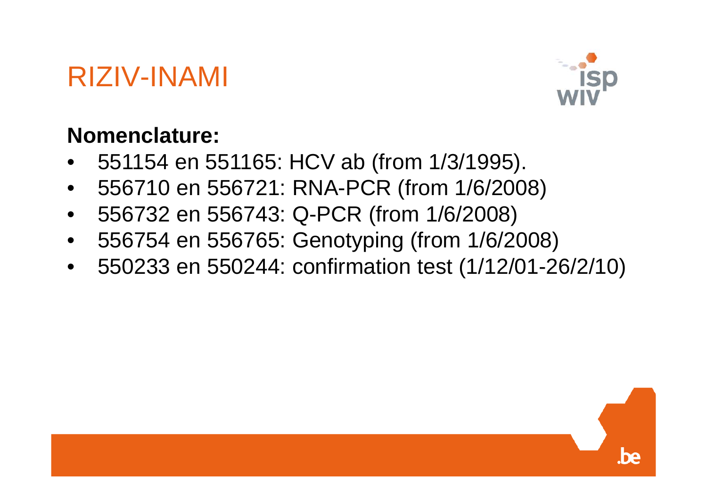## RIZIV-INAMI



#### **Nomenclature:**

- •551154 en 551165: HCV ab (from 1/3/1995).
- 556710 en 556721: RNA-PCR (from 1/6/2008)
- $\bullet$ 556732 en 556743: Q-PCR (from 1/6/2008)
- •556754 en 556765: Genotyping (from 1/6/2008)
- 550233 en 550244: confirmation test (1/12/01-26/2/10)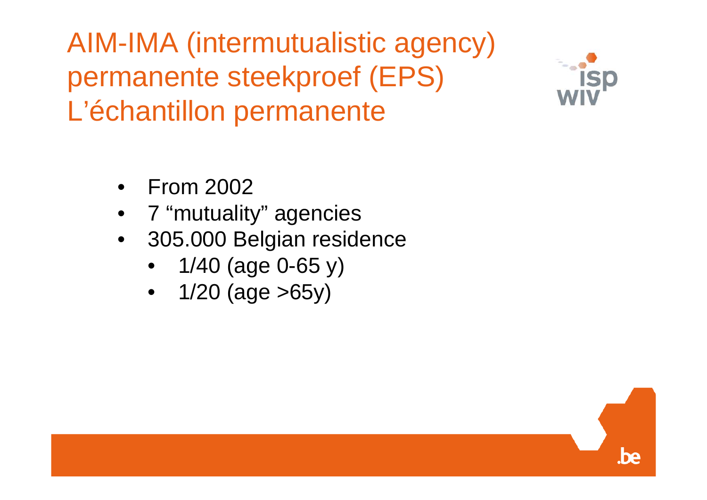AIM-IMA (intermutualistic agency) permanente steekproef (EPS) L'échantillon permanente



be

- •From 2002
- •7 "mutuality" agencies
- 305.000 Belgian residence
	- $\bullet$ 1/40 (age 0-65 y)
	- $\bullet$ 1/20 (age >65y)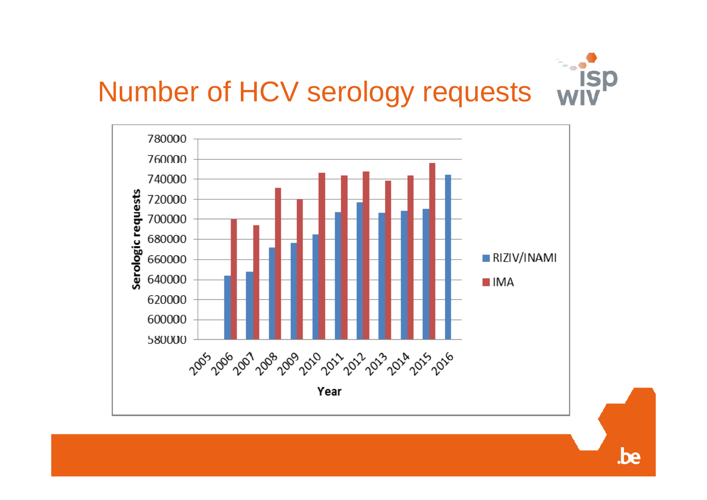



.be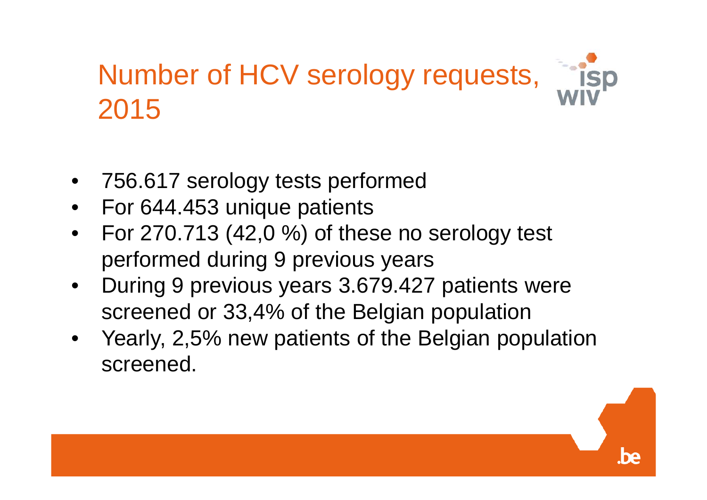# Number of HCV serology requests, 2015



- $\bullet$ For 644.453 unique patients
- $\bullet$  For 270.713 (42,0 %) of these no serology test performed during 9 previous years
- $\bullet$  During 9 previous years 3.679.427 patients were screened or 33,4% of the Belgian population
- $\bullet$  Yearly, 2,5% new patients of the Belgian population screened.

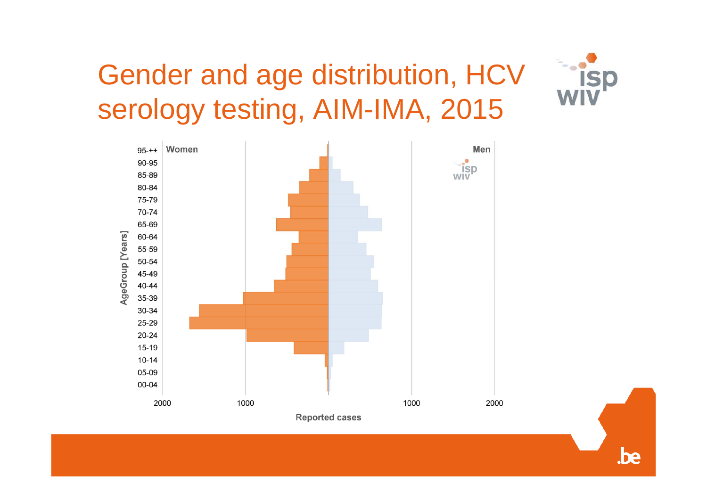# Gender and age distribution, HCV serology testing, AIM-IMA, 2015

**ISD** 

.be

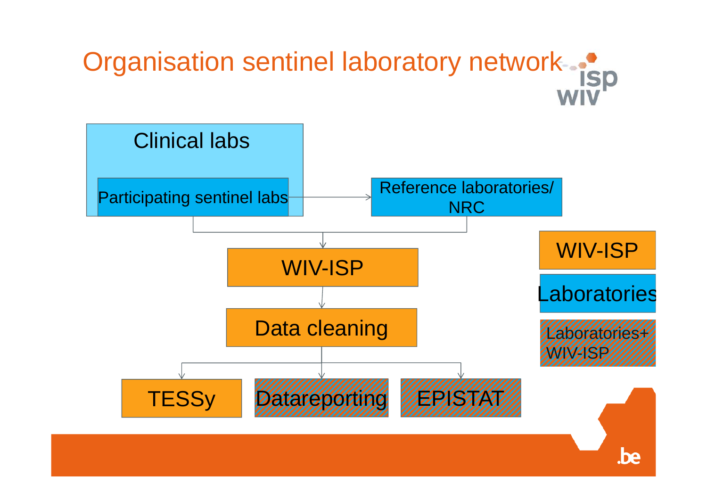# Organisation sentinel laboratory network- $\cdot$ isp

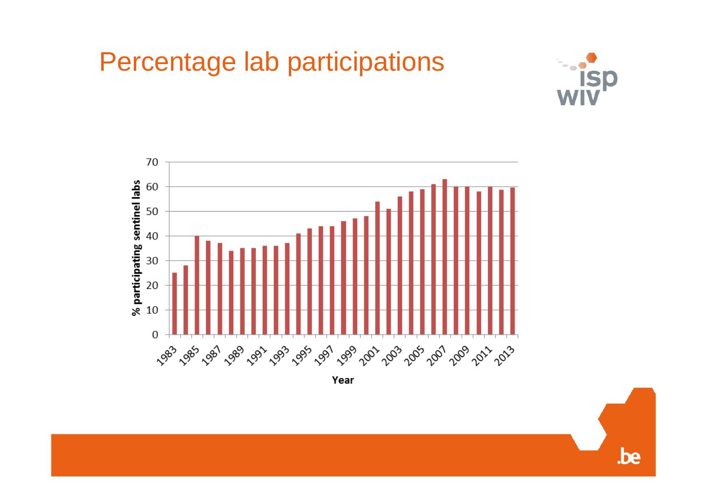



 $be$ 



Year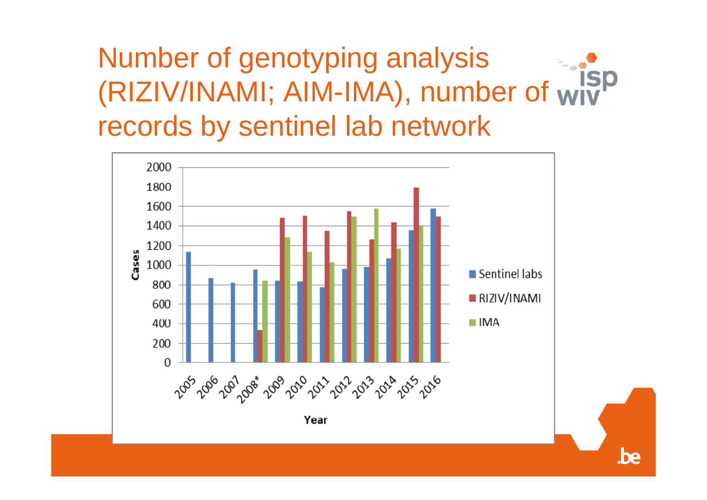#### Number of genotyping analysis **ISP** (RIZIV/INAMI; AIM-IMA), number of records by sentinel lab network



.be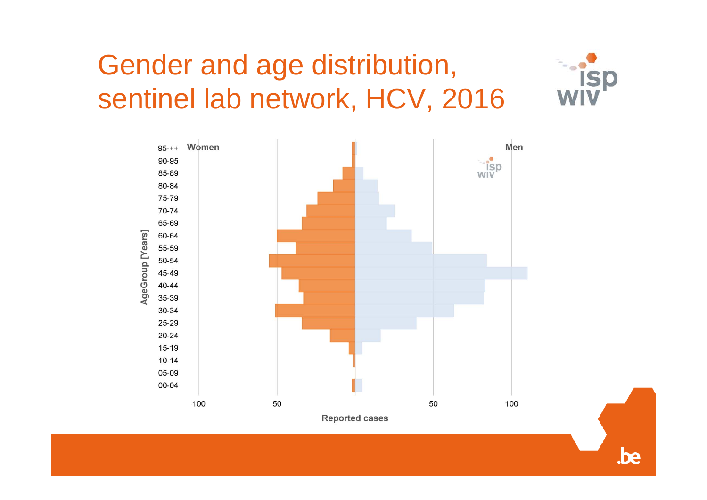# Gender and age distribution, sentinel lab network, HCV, 2016



.be

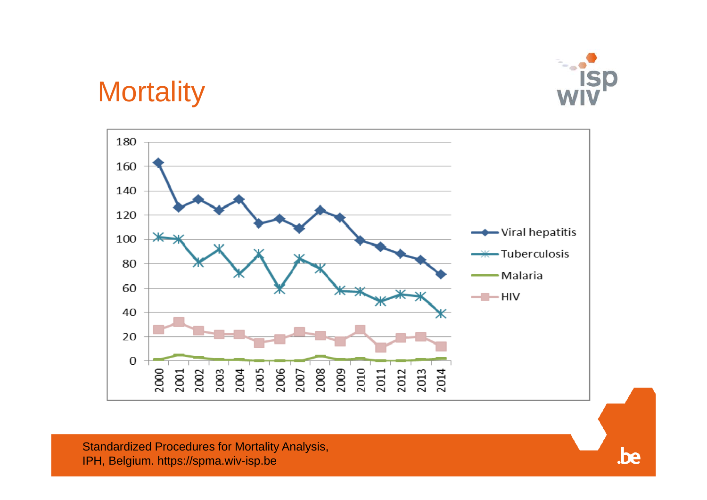

 $be$ 

## **Mortality**



Standardized Procedures for Mortality Analysis, IPH, Belgium. https://spma.wiv-isp.be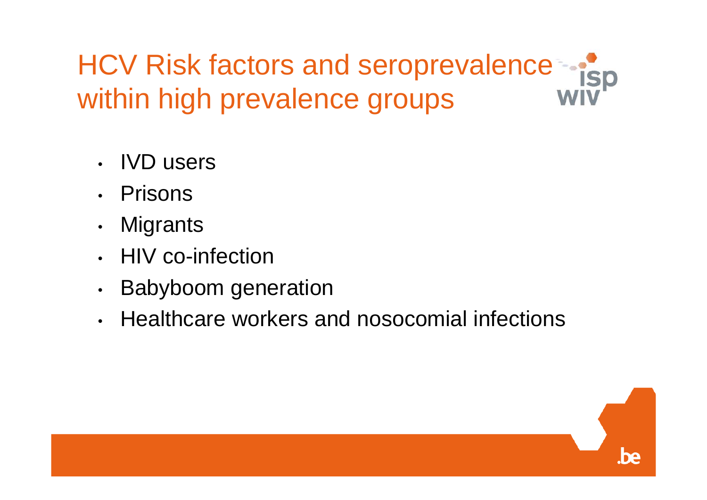HCV Risk factors and seroprevalence within high prevalence groups

- •IVD users
- •Prisons
- •**Migrants**
- •HIV co-infection
- $\bullet$ Babyboom generation
- •Healthcare workers and nosocomial infections

be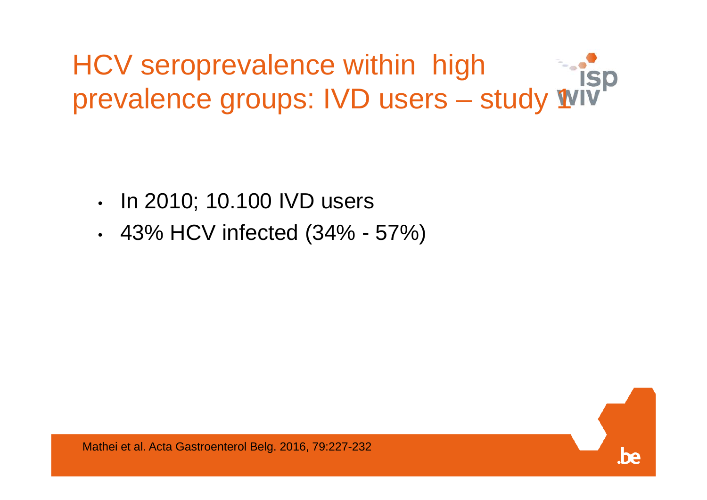HCV seroprevalence within high prevalence groups: IVD users – study 1

- •In 2010; 10.100 IVD users
- •43% HCV infected (34% - 57%)

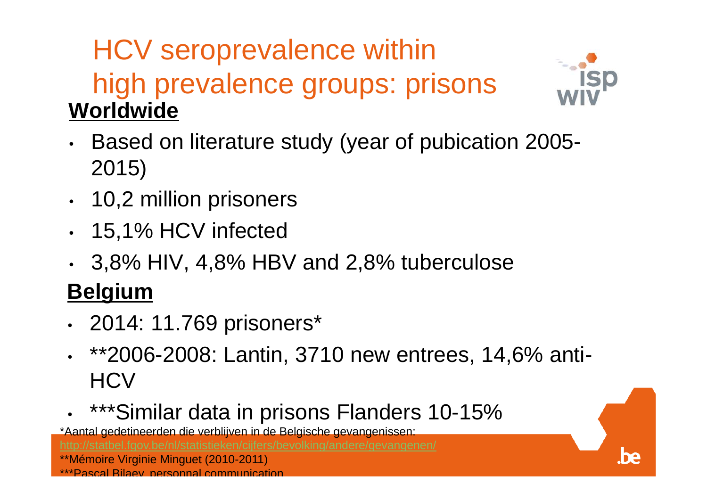## HCV seroprevalence within high prevalence groups: prisons **Worldwide**



be

- • Based on literature study (year of pubication 2005- 2015)
- •10,2 million prisoners
- 15,1% HCV infected
- 3,8% HIV, 4,8% HBV and 2,8% tuberculose

#### **Belgium**

- •2014: 11.769 prisoners\*
- \*\*2006-2008: Lantin, 3710 new entrees, 14,6% anti-**HCV**
- •\*\*\*Similar data in prisons Flanders 10-15%

\*Aantal gedetineerden die verblijven in de Belgische gevangenissen: \*\*Mémoire Virginie Minguet (2010-2011) \*\*\*Pascal Bilaey personnal communication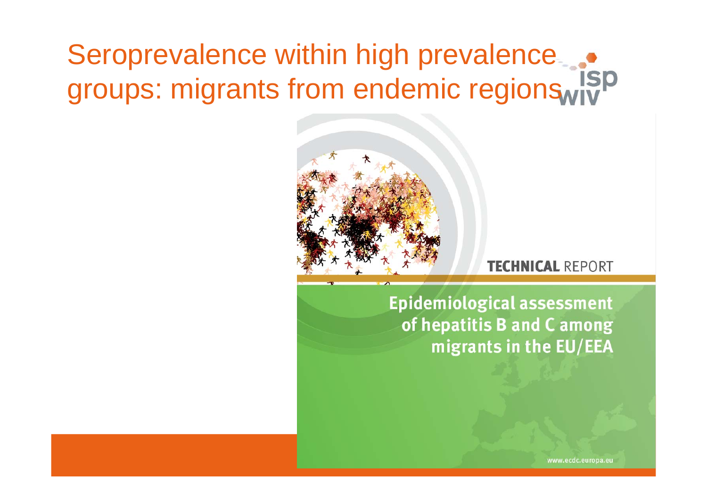# Seroprevalence within high prevalence... groups: migrants from endemic regionswith



#### **TECHNICAL REPORT**

**Epidemiological assessment** of hepatitis B and C among migrants in the EU/EEA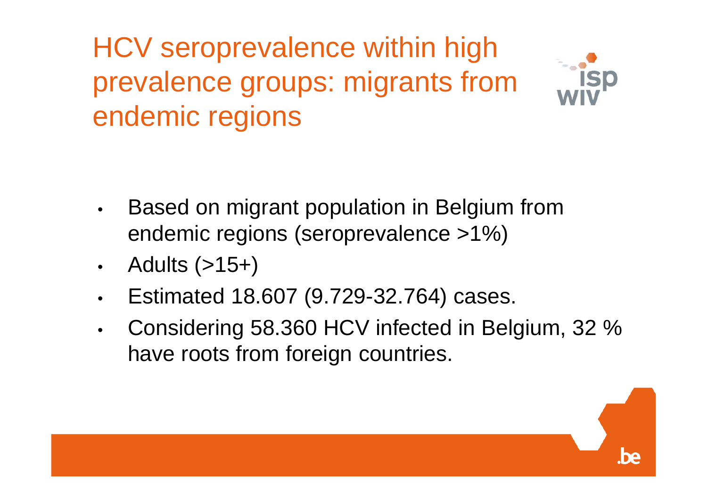HCV seroprevalence within high prevalence groups: migrants from endemic regions



- $\bullet$  Based on migrant population in Belgium from endemic regions (seroprevalence >1%)
- $\bullet$ Adults (>15+)
- $\bullet$ Estimated 18.607 (9.729-32.764) cases.
- $\bullet$  Considering 58.360 HCV infected in Belgium, 32 % have roots from foreign countries.

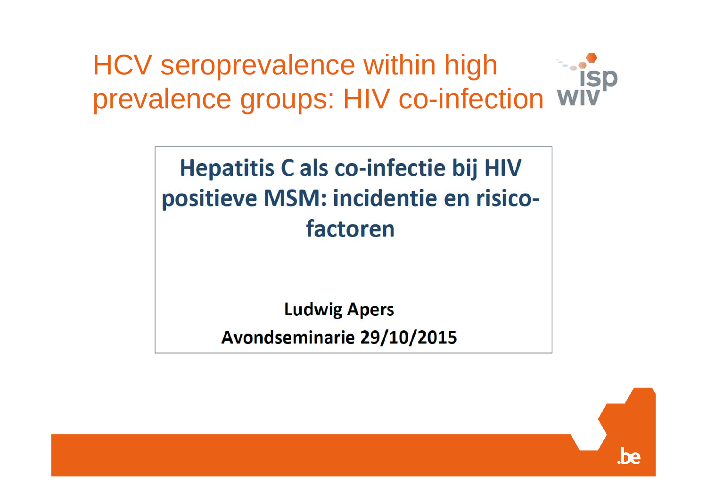HCV seroprevalence within high prevalence groups: HIV co-infection

## **Hepatitis C als co-infectie bij HIV** positieve MSM: incidentie en risicofactoren

**Ludwig Apers** 

Avondseminarie 29/10/2015

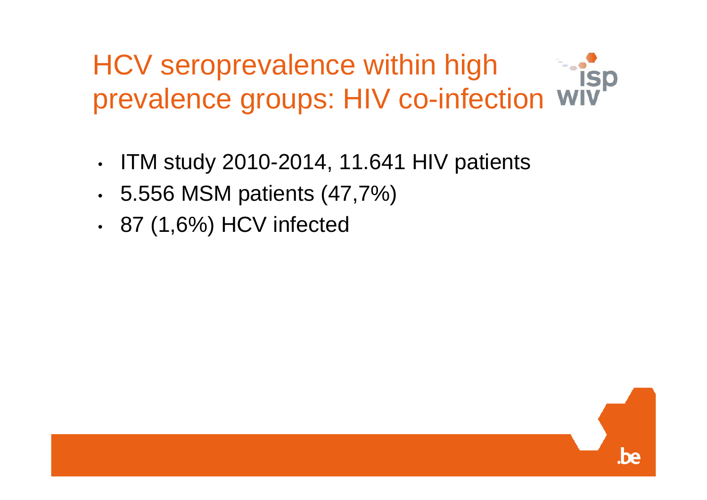HCV seroprevalence within high prevalence groups: HIV co-infection

- •ITM study 2010-2014, 11.641 HIV patients
- •5.556 MSM patients (47,7%)
- •87 (1,6%) HCV infected

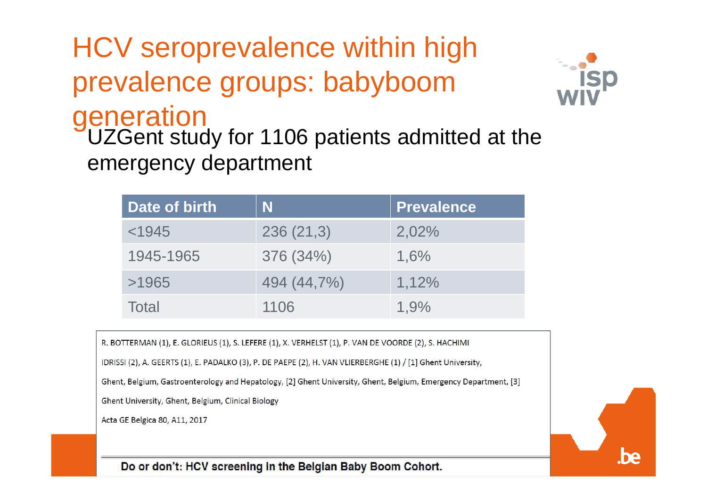HCV seroprevalence within high prevalence groups: babyboom generation<br>UZGent study for 1106 patients admitted at the emergency department



| Date of birth | N           | <b>Prevalence</b> |
|---------------|-------------|-------------------|
| < 1945        | 236(21,3)   | 2,02%             |
| 1945-1965     | 376 (34%)   | 1,6%              |
| >1965         | 494 (44,7%) | 1,12%             |
| Total         | 1106        | 1.9%              |

R. BOTTERMAN (1), E. GLORIEUS (1), S. LEFERE (1), X. VERHELST (1), P. VAN DE VOORDE (2), S. HACHIMI

IDRISSI (2), A. GEERTS (1), E. PADALKO (3), P. DE PAEPE (2), H. VAN VLIERBERGHE (1) / [1] Ghent University,

Ghent, Belgium, Gastroenterology and Hepatology, [2] Ghent University, Ghent, Belgium, Emergency Department, [3]

Ghent University, Ghent, Belgium, Clinical Biology

Acta GE Belgica 80, A11, 2017

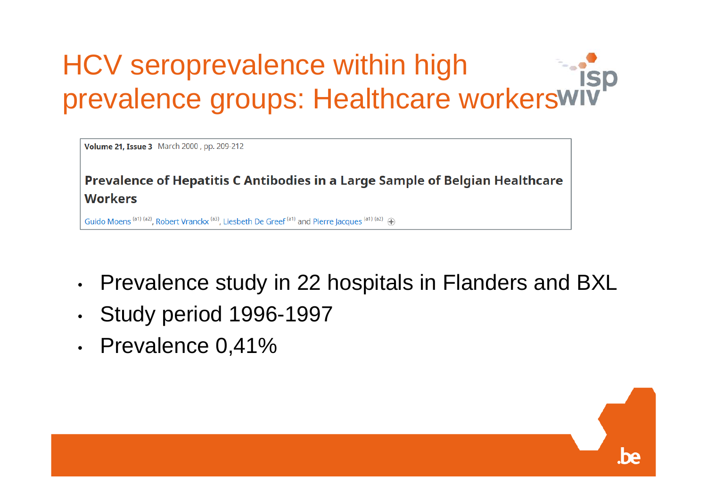# HCV seroprevalence within high prevalence groups: Healthcare workerswit

Volume 21, Issue 3 March 2000, pp. 209-212

Prevalence of Hepatitis C Antibodies in a Large Sample of Belgian Healthcare **Workers** 

Guido Moens (a1) (a2), Robert Vranckx (a3), Liesbeth De Greef (a1) and Pierre Jacques (a1) (a2)  $\oplus$ 

- •Prevalence study in 22 hospitals in Flanders and BXL
- •Study period 1996-1997
- •Prevalence 0,41%

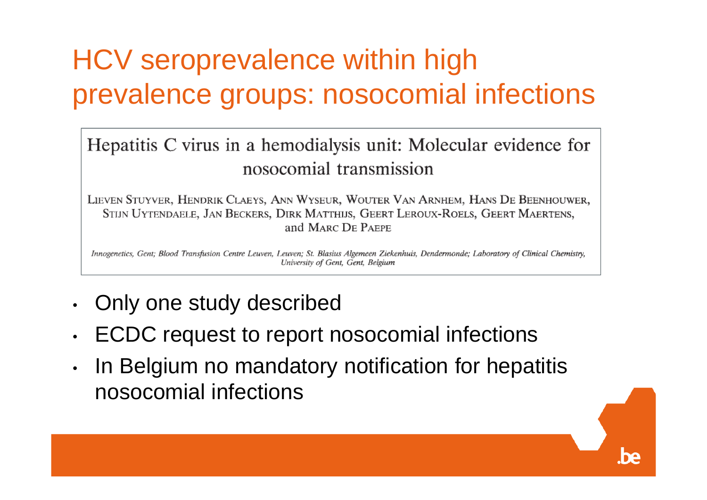# HCV seroprevalence within high prevalence groups: nosocomial infections

#### Hepatitis C virus in a hemodialysis unit: Molecular evidence for nosocomial transmission

LIEVEN STUYVER, HENDRIK CLAEYS, ANN WYSEUR, WOUTER VAN ARNHEM, HANS DE BEENHOUWER, STIJN UYTENDAELE, JAN BECKERS, DIRK MATTHIJS, GEERT LEROUX-ROELS, GEERT MAERTENS, and MARC DE PAEPE

Innogenetics, Gent; Blood Transfusion Centre Leuven, Leuven; St. Blasius Algemeen Ziekenhuis, Dendermonde; Laboratory of Clinical Chemistry, University of Gent, Gent, Belgium

- •Only one study described
- •ECDC request to report nosocomial infections
- • In Belgium no mandatory notification for hepatitis nosocomial infections